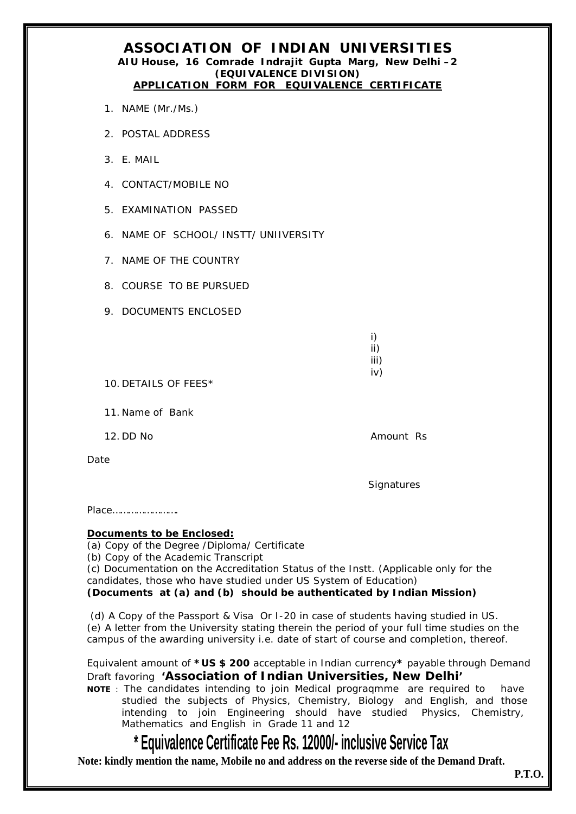## **ASSOCIATION OF INDIAN UNIVERSITIES AIU House, 16 Comrade Indrajit Gupta Marg, New Delhi –2 (EQUIVALENCE DIVISION) APPLICATION FORM FOR EQUIVALENCE CERTIFICATE**

- 1. NAME (Mr./Ms.)
- 2. POSTAL ADDRESS
- 3. E. MAIL
- 4. CONTACT/MOBILE NO
- 5. EXAMINATION PASSED
- 6. NAME OF SCHOOL/ INSTT/ UNIIVERSITY
- 7. NAME OF THE COUNTRY
- 8. COURSE TO BE PURSUED
- 9. DOCUMENTS ENCLOSED

- i) ii) iii)
- iv)

10. DETAILS OF FEES\*

11. Name of Bank

12. DD No **Amount Rs** 

Date

**Signatures** 

Place…………………….

# **Documents to be Enclosed:**

(a) Copy of the Degree /Diploma/ Certificate

(b) Copy of the Academic Transcript

(c) Documentation on the Accreditation Status of the Instt. (Applicable only for the candidates, those who have studied under US System of Education)

# **(Documents at (a) and (b) should be authenticated by Indian Mission)**

(d) A Copy of the Passport & Visa Or I-20 in case of students having studied in US. (e) A letter from the University stating therein the period of your full time studies on the campus of the awarding university i.e. date of start of course and completion, thereof.

Equivalent amount of **\*US \$ 200** acceptable in Indian currency**\*** payable through Demand Draft favoring **'Association of Indian Universities, New Delhi'** 

**NOTE** : The candidates intending to join Medical prograqmme are required to have studied the subjects of Physics, Chemistry, Biology and English, and those intending to join Engineering should have studied Physics, Chemistry, Mathematics and English in Grade 11 and 12

# **\* Equivalence Certificate Fee Rs. 12000/- inclusive Service Tax**

**Note: kindly mention the name, Mobile no and address on the reverse side of the Demand Draft.**

**P.T.O.**